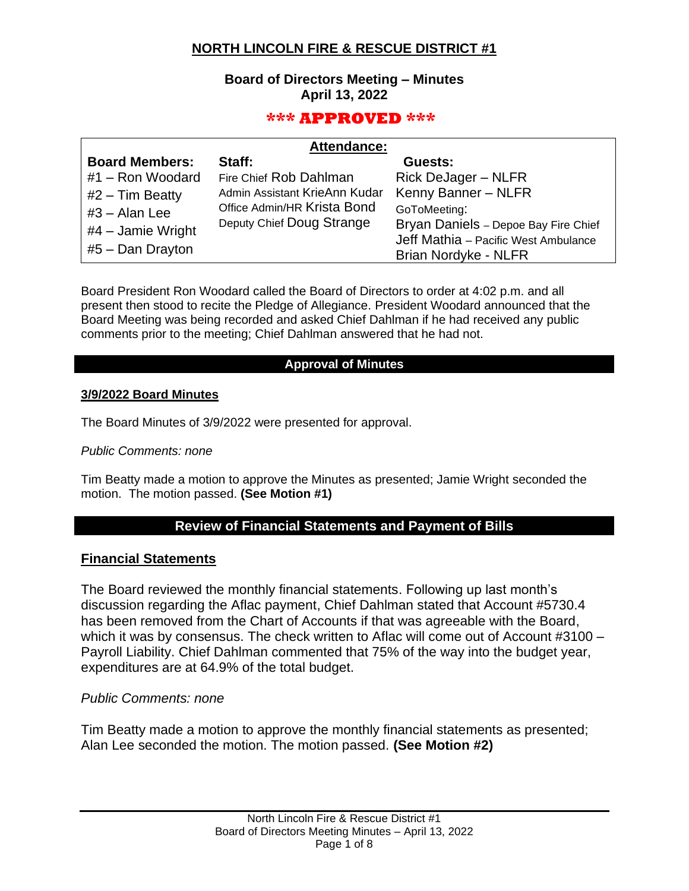# **NORTH LINCOLN FIRE & RESCUE DISTRICT #1**

## **Board of Directors Meeting – Minutes April 13, 2022**

## **\*\*\* APPROVED \*\*\***

| <b>Attendance:</b>    |                               |                                      |  |  |
|-----------------------|-------------------------------|--------------------------------------|--|--|
| <b>Board Members:</b> | Staff:                        | Guests:                              |  |  |
| #1 - Ron Woodard      | Fire Chief Rob Dahlman        | <b>Rick DeJager - NLFR</b>           |  |  |
| $#2$ – Tim Beatty     | Admin Assistant KrieAnn Kudar | Kenny Banner - NLFR                  |  |  |
| $#3 - Alan Lee$       | Office Admin/HR Krista Bond   | GoToMeeting:                         |  |  |
| $#4$ – Jamie Wright   | Deputy Chief Doug Strange     | Bryan Daniels - Depoe Bay Fire Chief |  |  |
|                       |                               | Jeff Mathia - Pacific West Ambulance |  |  |
| #5 - Dan Drayton      |                               | Brian Nordyke - NLFR                 |  |  |

Board President Ron Woodard called the Board of Directors to order at 4:02 p.m. and all present then stood to recite the Pledge of Allegiance. President Woodard announced that the Board Meeting was being recorded and asked Chief Dahlman if he had received any public comments prior to the meeting; Chief Dahlman answered that he had not.

### **Approval of Minutes**

### **3/9/2022 Board Minutes**

The Board Minutes of 3/9/2022 were presented for approval.

#### *Public Comments: none*

Tim Beatty made a motion to approve the Minutes as presented; Jamie Wright seconded the motion. The motion passed. **(See Motion #1)**

## **Review of Financial Statements and Payment of Bills**

### **Financial Statements**

The Board reviewed the monthly financial statements. Following up last month's discussion regarding the Aflac payment, Chief Dahlman stated that Account #5730.4 has been removed from the Chart of Accounts if that was agreeable with the Board, which it was by consensus. The check written to Aflac will come out of Account #3100 – Payroll Liability. Chief Dahlman commented that 75% of the way into the budget year, expenditures are at 64.9% of the total budget.

### *Public Comments: none*

Tim Beatty made a motion to approve the monthly financial statements as presented; Alan Lee seconded the motion. The motion passed. **(See Motion #2)**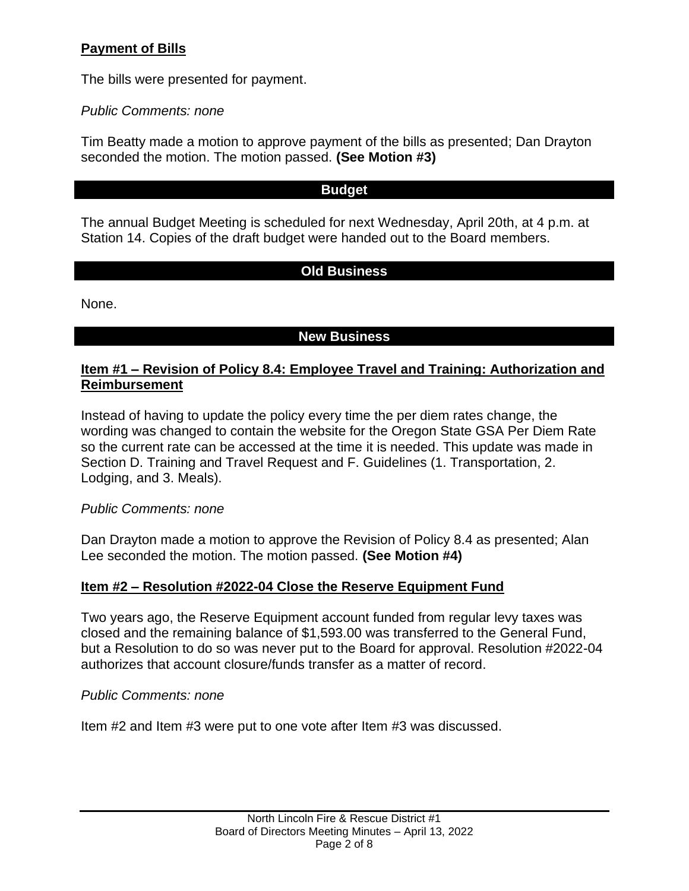# **Payment of Bills**

The bills were presented for payment.

*Public Comments: none*

Tim Beatty made a motion to approve payment of the bills as presented; Dan Drayton seconded the motion. The motion passed. **(See Motion #3)**

## **Budget**

The annual Budget Meeting is scheduled for next Wednesday, April 20th, at 4 p.m. at Station 14. Copies of the draft budget were handed out to the Board members.

# **Old Business**

None.

# **New Business**

## **Item #1 – Revision of Policy 8.4: Employee Travel and Training: Authorization and Reimbursement**

Instead of having to update the policy every time the per diem rates change, the wording was changed to contain the website for the Oregon State GSA Per Diem Rate so the current rate can be accessed at the time it is needed. This update was made in Section D. Training and Travel Request and F. Guidelines (1. Transportation, 2. Lodging, and 3. Meals).

*Public Comments: none*

Dan Drayton made a motion to approve the Revision of Policy 8.4 as presented; Alan Lee seconded the motion. The motion passed. **(See Motion #4)**

## **Item #2 – Resolution #2022-04 Close the Reserve Equipment Fund**

Two years ago, the Reserve Equipment account funded from regular levy taxes was closed and the remaining balance of \$1,593.00 was transferred to the General Fund, but a Resolution to do so was never put to the Board for approval. Resolution #2022-04 authorizes that account closure/funds transfer as a matter of record.

## *Public Comments: none*

Item #2 and Item #3 were put to one vote after Item #3 was discussed.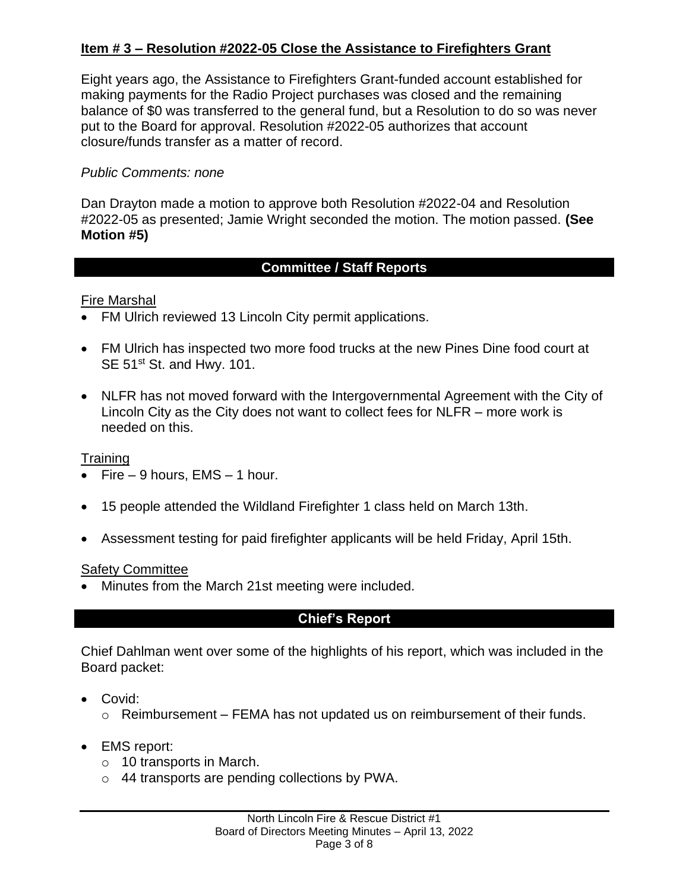# **Item # 3 – Resolution #2022-05 Close the Assistance to Firefighters Grant**

Eight years ago, the Assistance to Firefighters Grant-funded account established for making payments for the Radio Project purchases was closed and the remaining balance of \$0 was transferred to the general fund, but a Resolution to do so was never put to the Board for approval. Resolution #2022-05 authorizes that account closure/funds transfer as a matter of record.

## *Public Comments: none*

Dan Drayton made a motion to approve both Resolution #2022-04 and Resolution #2022-05 as presented; Jamie Wright seconded the motion. The motion passed. **(See Motion #5)**

## **Committee / Staff Reports**

## Fire Marshal

- FM Ulrich reviewed 13 Lincoln City permit applications.
- FM Ulrich has inspected two more food trucks at the new Pines Dine food court at SE 51<sup>st</sup> St. and Hwy. 101.
- NLFR has not moved forward with the Intergovernmental Agreement with the City of Lincoln City as the City does not want to collect fees for NLFR – more work is needed on this.

## **Training**

- Fire  $-9$  hours, EMS  $-1$  hour.
- 15 people attended the Wildland Firefighter 1 class held on March 13th.
- Assessment testing for paid firefighter applicants will be held Friday, April 15th.

## **Safety Committee**

• Minutes from the March 21st meeting were included.

# **Chief's Report**

Chief Dahlman went over some of the highlights of his report, which was included in the Board packet:

- Covid:
	- $\circ$  Reimbursement FEMA has not updated us on reimbursement of their funds.
- EMS report:
	- o 10 transports in March.
	- o 44 transports are pending collections by PWA.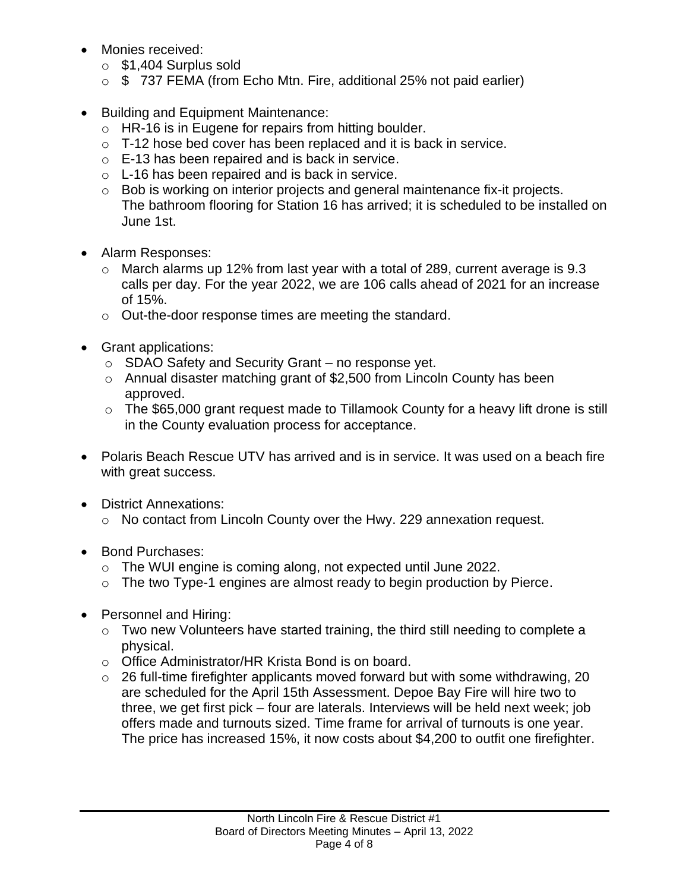- Monies received:
	- o \$1,404 Surplus sold
	- $\circ$  \$ 737 FEMA (from Echo Mtn. Fire, additional 25% not paid earlier)
- Building and Equipment Maintenance:
	- $\circ$  HR-16 is in Eugene for repairs from hitting boulder.
	- o T-12 hose bed cover has been replaced and it is back in service.
	- o E-13 has been repaired and is back in service.
	- o L-16 has been repaired and is back in service.
	- $\circ$  Bob is working on interior projects and general maintenance fix-it projects. The bathroom flooring for Station 16 has arrived; it is scheduled to be installed on June 1st.
- Alarm Responses:
	- o March alarms up 12% from last year with a total of 289, current average is 9.3 calls per day. For the year 2022, we are 106 calls ahead of 2021 for an increase of 15%.
	- o Out-the-door response times are meeting the standard.
- Grant applications:
	- o SDAO Safety and Security Grant no response yet.
	- o Annual disaster matching grant of \$2,500 from Lincoln County has been approved.
	- o The \$65,000 grant request made to Tillamook County for a heavy lift drone is still in the County evaluation process for acceptance.
- Polaris Beach Rescue UTV has arrived and is in service. It was used on a beach fire with great success.
- District Annexations:
	- o No contact from Lincoln County over the Hwy. 229 annexation request.
- Bond Purchases:
	- o The WUI engine is coming along, not expected until June 2022.
	- o The two Type-1 engines are almost ready to begin production by Pierce.
- Personnel and Hiring:
	- o Two new Volunteers have started training, the third still needing to complete a physical.
	- o Office Administrator/HR Krista Bond is on board.
	- o 26 full-time firefighter applicants moved forward but with some withdrawing, 20 are scheduled for the April 15th Assessment. Depoe Bay Fire will hire two to three, we get first pick – four are laterals. Interviews will be held next week; job offers made and turnouts sized. Time frame for arrival of turnouts is one year. The price has increased 15%, it now costs about \$4,200 to outfit one firefighter.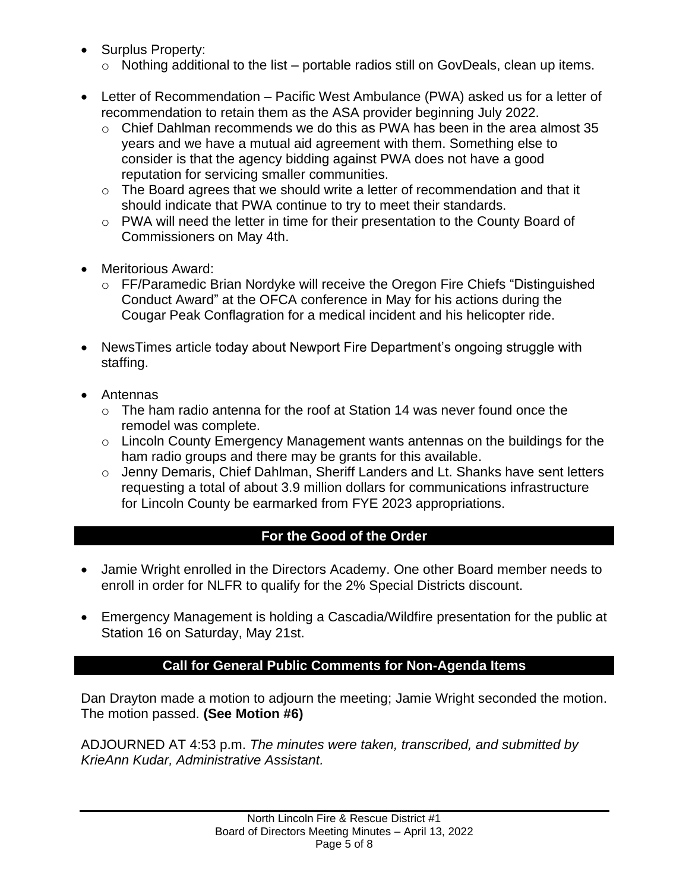- Surplus Property:
	- $\circ$  Nothing additional to the list portable radios still on GovDeals, clean up items.
- Letter of Recommendation Pacific West Ambulance (PWA) asked us for a letter of recommendation to retain them as the ASA provider beginning July 2022.
	- o Chief Dahlman recommends we do this as PWA has been in the area almost 35 years and we have a mutual aid agreement with them. Something else to consider is that the agency bidding against PWA does not have a good reputation for servicing smaller communities.
	- $\circ$  The Board agrees that we should write a letter of recommendation and that it should indicate that PWA continue to try to meet their standards.
	- o PWA will need the letter in time for their presentation to the County Board of Commissioners on May 4th.
- Meritorious Award:
	- o FF/Paramedic Brian Nordyke will receive the Oregon Fire Chiefs "Distinguished Conduct Award" at the OFCA conference in May for his actions during the Cougar Peak Conflagration for a medical incident and his helicopter ride.
- NewsTimes article today about Newport Fire Department's ongoing struggle with staffing.
- Antennas
	- $\circ$  The ham radio antenna for the roof at Station 14 was never found once the remodel was complete.
	- o Lincoln County Emergency Management wants antennas on the buildings for the ham radio groups and there may be grants for this available.
	- o Jenny Demaris, Chief Dahlman, Sheriff Landers and Lt. Shanks have sent letters requesting a total of about 3.9 million dollars for communications infrastructure for Lincoln County be earmarked from FYE 2023 appropriations.

# **For the Good of the Order**

- Jamie Wright enrolled in the Directors Academy. One other Board member needs to enroll in order for NLFR to qualify for the 2% Special Districts discount.
- Emergency Management is holding a Cascadia/Wildfire presentation for the public at Station 16 on Saturday, May 21st.

# **Call for General Public Comments for Non-Agenda Items**

Dan Drayton made a motion to adjourn the meeting; Jamie Wright seconded the motion. The motion passed. **(See Motion #6)**

ADJOURNED AT 4:53 p.m. *The minutes were taken, transcribed, and submitted by KrieAnn Kudar, Administrative Assistant.*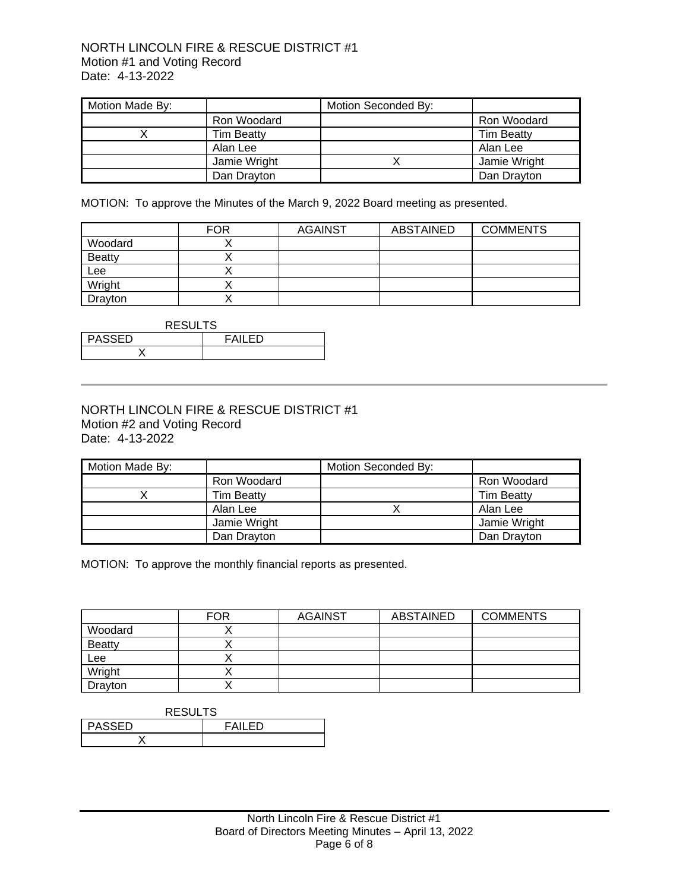#### NORTH LINCOLN FIRE & RESCUE DISTRICT #1 Motion #1 and Voting Record Date: 4-13-2022

| Motion Made By: |                   | Motion Seconded By: |                   |
|-----------------|-------------------|---------------------|-------------------|
|                 | Ron Woodard       |                     | Ron Woodard       |
|                 | <b>Tim Beatty</b> |                     | <b>Tim Beatty</b> |
|                 | Alan Lee          |                     | Alan Lee          |
|                 | Jamie Wright      |                     | Jamie Wright      |
|                 | Dan Drayton       |                     | Dan Drayton       |

MOTION: To approve the Minutes of the March 9, 2022 Board meeting as presented.

|               | <b>FOR</b> | <b>AGAINST</b> | ABSTAINED | <b>COMMENTS</b> |
|---------------|------------|----------------|-----------|-----------------|
| Woodard       |            |                |           |                 |
| <b>Beatty</b> |            |                |           |                 |
| Lee           |            |                |           |                 |
| Wright        |            |                |           |                 |
| Drayton       |            |                |           |                 |

| <b>RESULTS</b>                 |  |  |  |
|--------------------------------|--|--|--|
| <b>PASSED</b><br><b>FAILED</b> |  |  |  |
|                                |  |  |  |

#### NORTH LINCOLN FIRE & RESCUE DISTRICT #1 Motion #2 and Voting Record Date: 4-13-2022

| Motion Made By: |                   | Motion Seconded By: |                   |
|-----------------|-------------------|---------------------|-------------------|
|                 | Ron Woodard       |                     | Ron Woodard       |
|                 | <b>Tim Beatty</b> |                     | <b>Tim Beatty</b> |
|                 | Alan Lee          |                     | Alan Lee          |
|                 | Jamie Wright      |                     | Jamie Wright      |
|                 | Dan Drayton       |                     | Dan Dravton       |

MOTION: To approve the monthly financial reports as presented.

|               | <b>FOR</b> | <b>AGAINST</b> | ABSTAINED | <b>COMMENTS</b> |
|---------------|------------|----------------|-----------|-----------------|
| Woodard       |            |                |           |                 |
| <b>Beatty</b> |            |                |           |                 |
| Lee           |            |                |           |                 |
| Wright        |            |                |           |                 |
| Drayton       |            |                |           |                 |

| <b>RESULTS</b>           |  |  |  |
|--------------------------|--|--|--|
| <b>PASSED</b><br>FAII FD |  |  |  |
|                          |  |  |  |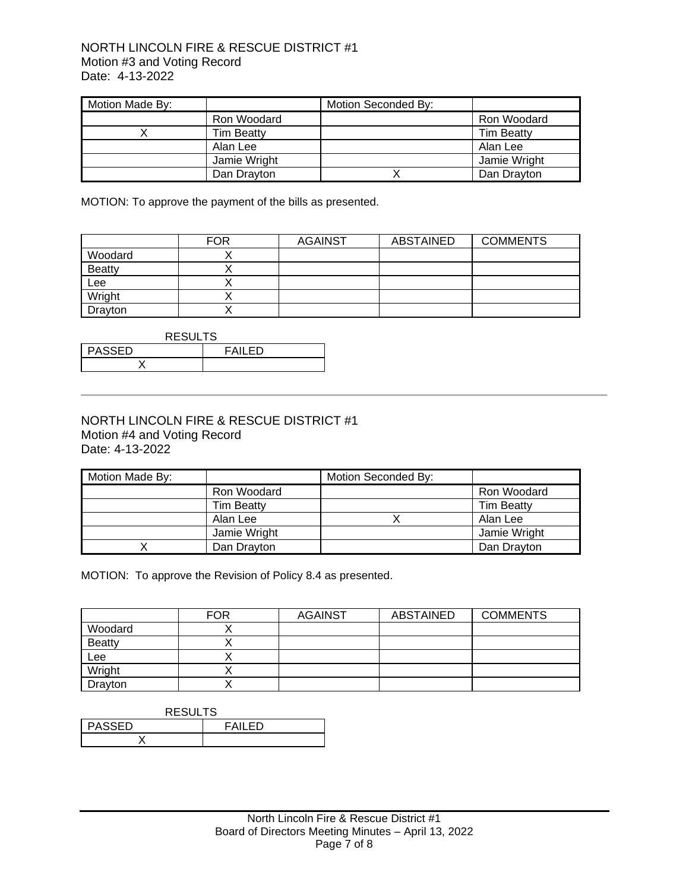#### NORTH LINCOLN FIRE & RESCUE DISTRICT #1 Motion #3 and Voting Record Date: 4-13-2022

| Motion Made By: |                   | Motion Seconded By: |                   |
|-----------------|-------------------|---------------------|-------------------|
|                 | Ron Woodard       |                     | Ron Woodard       |
|                 | <b>Tim Beatty</b> |                     | <b>Tim Beatty</b> |
|                 | Alan Lee          |                     | Alan Lee          |
|                 | Jamie Wright      |                     | Jamie Wright      |
|                 | Dan Drayton       |                     | Dan Drayton       |

MOTION: To approve the payment of the bills as presented.

|               | <b>FOR</b> | <b>AGAINST</b> | ABSTAINED | <b>COMMENTS</b> |
|---------------|------------|----------------|-----------|-----------------|
| Woodard       |            |                |           |                 |
| <b>Beatty</b> |            |                |           |                 |
| Lee           |            |                |           |                 |
| Wright        |            |                |           |                 |
| Drayton       |            |                |           |                 |

| <b>RESULTS</b>                 |  |  |  |
|--------------------------------|--|--|--|
| <b>PASSED</b><br><b>FAILED</b> |  |  |  |
|                                |  |  |  |

#### NORTH LINCOLN FIRE & RESCUE DISTRICT #1 Motion #4 and Voting Record Date: 4-13-2022

| Motion Made By: |                   | Motion Seconded By: |                   |
|-----------------|-------------------|---------------------|-------------------|
|                 | Ron Woodard       |                     | Ron Woodard       |
|                 | <b>Tim Beatty</b> |                     | <b>Tim Beatty</b> |
|                 | Alan Lee          |                     | Alan Lee          |
|                 | Jamie Wright      |                     | Jamie Wright      |
|                 | Dan Drayton       |                     | Dan Drayton       |

MOTION: To approve the Revision of Policy 8.4 as presented.

|               | <b>FOR</b> | <b>AGAINST</b> | ABSTAINED | <b>COMMENTS</b> |
|---------------|------------|----------------|-----------|-----------------|
| Woodard       |            |                |           |                 |
| <b>Beatty</b> |            |                |           |                 |
| Lee           |            |                |           |                 |
| Wright        |            |                |           |                 |
| Drayton       |            |                |           |                 |

| <b>RESULTS</b> |               |  |
|----------------|---------------|--|
| <b>PASSED</b>  | <b>FAILED</b> |  |
|                |               |  |